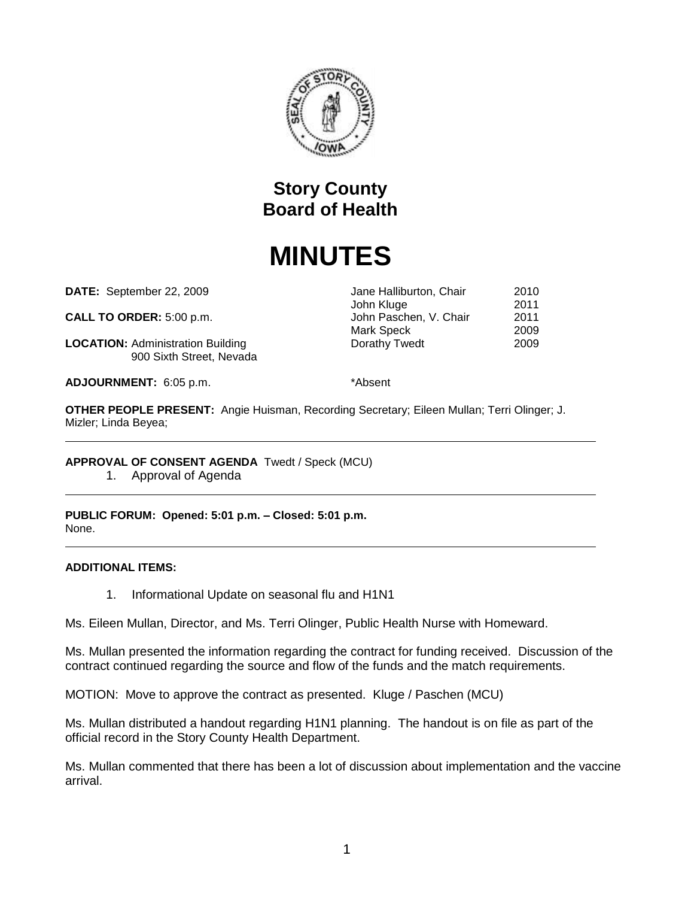

## **Story County Board of Health**

# **MINUTES**

**DATE:** September 22, 2009 Jane Halliburton, Chair 2010

**CALL TO ORDER:** 5:00 p.m. John Paschen, V. Chair 2011

**LOCATION:** Administration Building **Dorathy Twedt** 2009 900 Sixth Street, Nevada

**ADJOURNMENT:** 6:05 p.m. \*Absent

John Kluge 2011

Mark Speck 2009

**OTHER PEOPLE PRESENT:** Angie Huisman, Recording Secretary; Eileen Mullan; Terri Olinger; J. Mizler; Linda Beyea;

**APPROVAL OF CONSENT AGENDA** Twedt / Speck (MCU)

1. Approval of Agenda

**PUBLIC FORUM: Opened: 5:01 p.m. – Closed: 5:01 p.m.** None.

#### **ADDITIONAL ITEMS:**

1. Informational Update on seasonal flu and H1N1

Ms. Eileen Mullan, Director, and Ms. Terri Olinger, Public Health Nurse with Homeward.

Ms. Mullan presented the information regarding the contract for funding received. Discussion of the contract continued regarding the source and flow of the funds and the match requirements.

MOTION: Move to approve the contract as presented. Kluge / Paschen (MCU)

Ms. Mullan distributed a handout regarding H1N1 planning. The handout is on file as part of the official record in the Story County Health Department.

Ms. Mullan commented that there has been a lot of discussion about implementation and the vaccine arrival.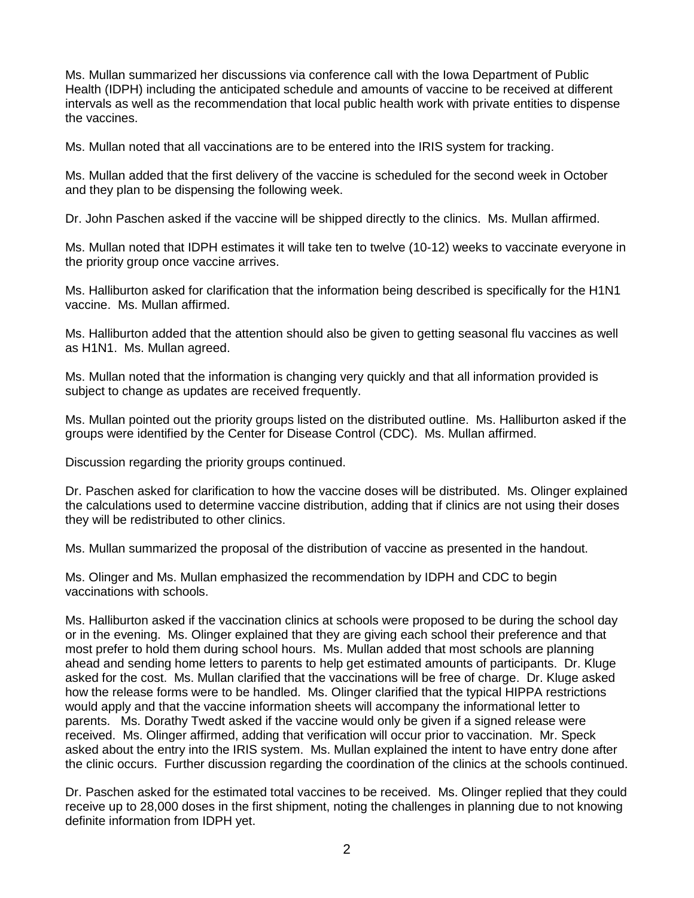Ms. Mullan summarized her discussions via conference call with the Iowa Department of Public Health (IDPH) including the anticipated schedule and amounts of vaccine to be received at different intervals as well as the recommendation that local public health work with private entities to dispense the vaccines.

Ms. Mullan noted that all vaccinations are to be entered into the IRIS system for tracking.

Ms. Mullan added that the first delivery of the vaccine is scheduled for the second week in October and they plan to be dispensing the following week.

Dr. John Paschen asked if the vaccine will be shipped directly to the clinics. Ms. Mullan affirmed.

Ms. Mullan noted that IDPH estimates it will take ten to twelve (10-12) weeks to vaccinate everyone in the priority group once vaccine arrives.

Ms. Halliburton asked for clarification that the information being described is specifically for the H1N1 vaccine. Ms. Mullan affirmed.

Ms. Halliburton added that the attention should also be given to getting seasonal flu vaccines as well as H1N1. Ms. Mullan agreed.

Ms. Mullan noted that the information is changing very quickly and that all information provided is subject to change as updates are received frequently.

Ms. Mullan pointed out the priority groups listed on the distributed outline. Ms. Halliburton asked if the groups were identified by the Center for Disease Control (CDC). Ms. Mullan affirmed.

Discussion regarding the priority groups continued.

Dr. Paschen asked for clarification to how the vaccine doses will be distributed. Ms. Olinger explained the calculations used to determine vaccine distribution, adding that if clinics are not using their doses they will be redistributed to other clinics.

Ms. Mullan summarized the proposal of the distribution of vaccine as presented in the handout.

Ms. Olinger and Ms. Mullan emphasized the recommendation by IDPH and CDC to begin vaccinations with schools.

Ms. Halliburton asked if the vaccination clinics at schools were proposed to be during the school day or in the evening. Ms. Olinger explained that they are giving each school their preference and that most prefer to hold them during school hours. Ms. Mullan added that most schools are planning ahead and sending home letters to parents to help get estimated amounts of participants. Dr. Kluge asked for the cost. Ms. Mullan clarified that the vaccinations will be free of charge. Dr. Kluge asked how the release forms were to be handled. Ms. Olinger clarified that the typical HIPPA restrictions would apply and that the vaccine information sheets will accompany the informational letter to parents. Ms. Dorathy Twedt asked if the vaccine would only be given if a signed release were received. Ms. Olinger affirmed, adding that verification will occur prior to vaccination. Mr. Speck asked about the entry into the IRIS system. Ms. Mullan explained the intent to have entry done after the clinic occurs. Further discussion regarding the coordination of the clinics at the schools continued.

Dr. Paschen asked for the estimated total vaccines to be received. Ms. Olinger replied that they could receive up to 28,000 doses in the first shipment, noting the challenges in planning due to not knowing definite information from IDPH yet.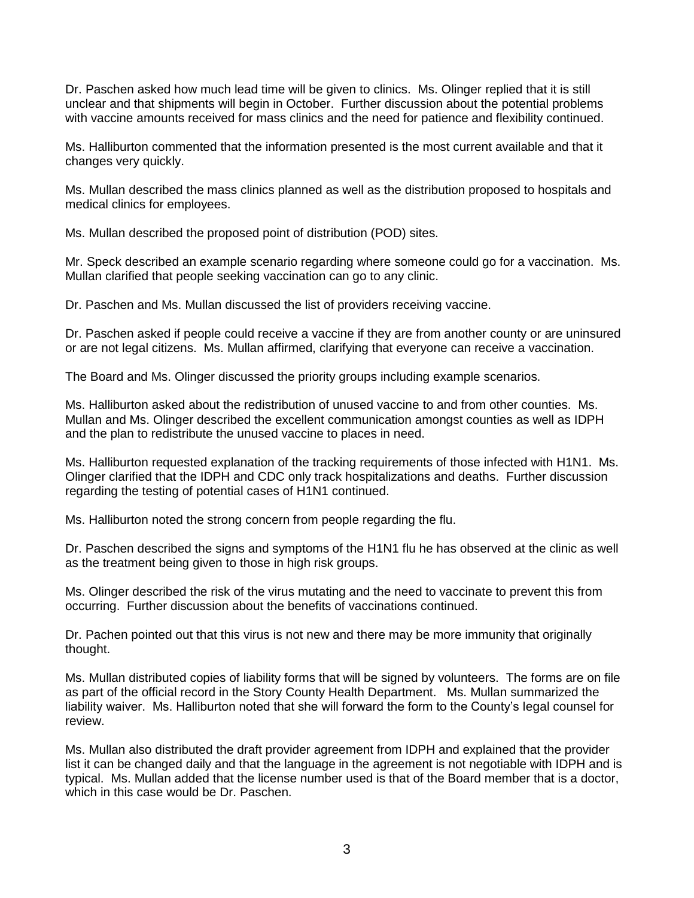Dr. Paschen asked how much lead time will be given to clinics. Ms. Olinger replied that it is still unclear and that shipments will begin in October. Further discussion about the potential problems with vaccine amounts received for mass clinics and the need for patience and flexibility continued.

Ms. Halliburton commented that the information presented is the most current available and that it changes very quickly.

Ms. Mullan described the mass clinics planned as well as the distribution proposed to hospitals and medical clinics for employees.

Ms. Mullan described the proposed point of distribution (POD) sites.

Mr. Speck described an example scenario regarding where someone could go for a vaccination. Ms. Mullan clarified that people seeking vaccination can go to any clinic.

Dr. Paschen and Ms. Mullan discussed the list of providers receiving vaccine.

Dr. Paschen asked if people could receive a vaccine if they are from another county or are uninsured or are not legal citizens. Ms. Mullan affirmed, clarifying that everyone can receive a vaccination.

The Board and Ms. Olinger discussed the priority groups including example scenarios.

Ms. Halliburton asked about the redistribution of unused vaccine to and from other counties. Ms. Mullan and Ms. Olinger described the excellent communication amongst counties as well as IDPH and the plan to redistribute the unused vaccine to places in need.

Ms. Halliburton requested explanation of the tracking requirements of those infected with H1N1. Ms. Olinger clarified that the IDPH and CDC only track hospitalizations and deaths. Further discussion regarding the testing of potential cases of H1N1 continued.

Ms. Halliburton noted the strong concern from people regarding the flu.

Dr. Paschen described the signs and symptoms of the H1N1 flu he has observed at the clinic as well as the treatment being given to those in high risk groups.

Ms. Olinger described the risk of the virus mutating and the need to vaccinate to prevent this from occurring. Further discussion about the benefits of vaccinations continued.

Dr. Pachen pointed out that this virus is not new and there may be more immunity that originally thought.

Ms. Mullan distributed copies of liability forms that will be signed by volunteers. The forms are on file as part of the official record in the Story County Health Department. Ms. Mullan summarized the liability waiver. Ms. Halliburton noted that she will forward the form to the County's legal counsel for review.

Ms. Mullan also distributed the draft provider agreement from IDPH and explained that the provider list it can be changed daily and that the language in the agreement is not negotiable with IDPH and is typical. Ms. Mullan added that the license number used is that of the Board member that is a doctor, which in this case would be Dr. Paschen.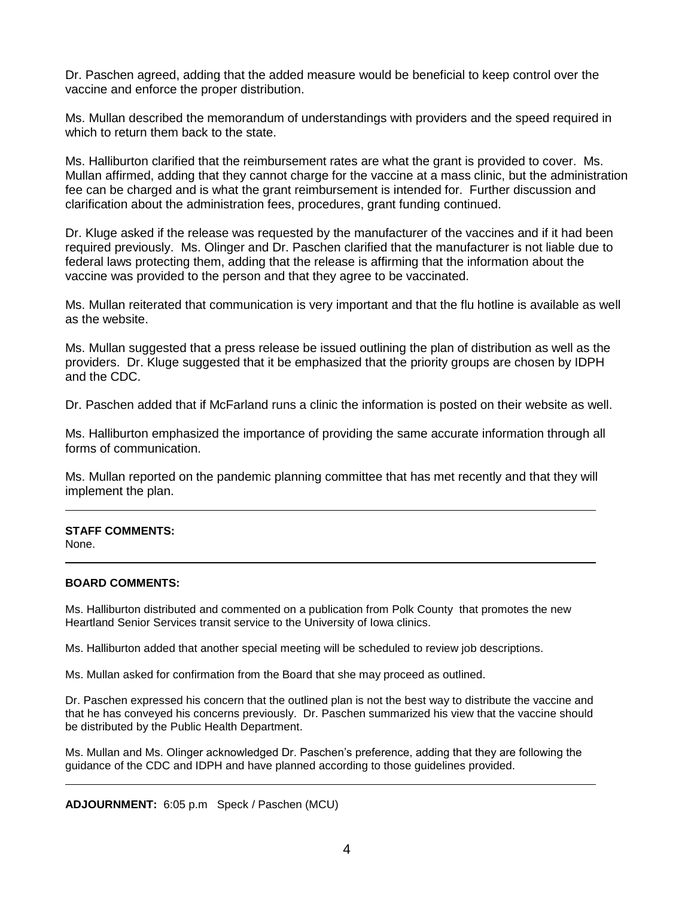Dr. Paschen agreed, adding that the added measure would be beneficial to keep control over the vaccine and enforce the proper distribution.

Ms. Mullan described the memorandum of understandings with providers and the speed required in which to return them back to the state.

Ms. Halliburton clarified that the reimbursement rates are what the grant is provided to cover. Ms. Mullan affirmed, adding that they cannot charge for the vaccine at a mass clinic, but the administration fee can be charged and is what the grant reimbursement is intended for. Further discussion and clarification about the administration fees, procedures, grant funding continued.

Dr. Kluge asked if the release was requested by the manufacturer of the vaccines and if it had been required previously. Ms. Olinger and Dr. Paschen clarified that the manufacturer is not liable due to federal laws protecting them, adding that the release is affirming that the information about the vaccine was provided to the person and that they agree to be vaccinated.

Ms. Mullan reiterated that communication is very important and that the flu hotline is available as well as the website.

Ms. Mullan suggested that a press release be issued outlining the plan of distribution as well as the providers. Dr. Kluge suggested that it be emphasized that the priority groups are chosen by IDPH and the CDC.

Dr. Paschen added that if McFarland runs a clinic the information is posted on their website as well.

Ms. Halliburton emphasized the importance of providing the same accurate information through all forms of communication.

Ms. Mullan reported on the pandemic planning committee that has met recently and that they will implement the plan.

### **STAFF COMMENTS:**

None.

#### **BOARD COMMENTS:**

Ms. Halliburton distributed and commented on a publication from Polk County that promotes the new Heartland Senior Services transit service to the University of Iowa clinics.

Ms. Halliburton added that another special meeting will be scheduled to review job descriptions.

Ms. Mullan asked for confirmation from the Board that she may proceed as outlined.

Dr. Paschen expressed his concern that the outlined plan is not the best way to distribute the vaccine and that he has conveyed his concerns previously. Dr. Paschen summarized his view that the vaccine should be distributed by the Public Health Department.

Ms. Mullan and Ms. Olinger acknowledged Dr. Paschen's preference, adding that they are following the guidance of the CDC and IDPH and have planned according to those guidelines provided.

**ADJOURNMENT:** 6:05 p.m Speck / Paschen (MCU)